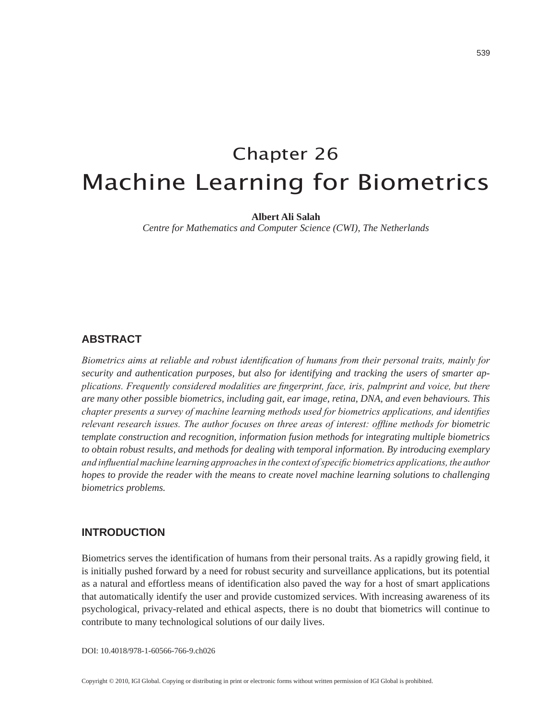# Chapter 26 Machine Learning for Biometrics

**Albert Ali Salah**

*Centre for Mathematics and Computer Science (CWI), The Netherlands*

# **AbSTRACT**

*Biometrics aims at reliable and robust identification of humans from their personal traits, mainly for security and authentication purposes, but also for identifying and tracking the users of smarter applications. Frequently considered modalities are fingerprint, face, iris, palmprint and voice, but there are many other possible biometrics, including gait, ear image, retina, DNA, and even behaviours. This chapter presents a survey of machine learning methods used for biometrics applications, and identifies relevant research issues. The author focuses on three areas of interest: offline methods for biometric template construction and recognition, information fusion methods for integrating multiple biometrics to obtain robust results, and methods for dealing with temporal information. By introducing exemplary and influential machine learning approaches in the context of specific biometrics applications, the author hopes to provide the reader with the means to create novel machine learning solutions to challenging biometrics problems.*

#### **INTRODUCTION**

Biometrics serves the identification of humans from their personal traits. As a rapidly growing field, it is initially pushed forward by a need for robust security and surveillance applications, but its potential as a natural and effortless means of identification also paved the way for a host of smart applications that automatically identify the user and provide customized services. With increasing awareness of its psychological, privacy-related and ethical aspects, there is no doubt that biometrics will continue to contribute to many technological solutions of our daily lives.

DOI: 10.4018/978-1-60566-766-9.ch026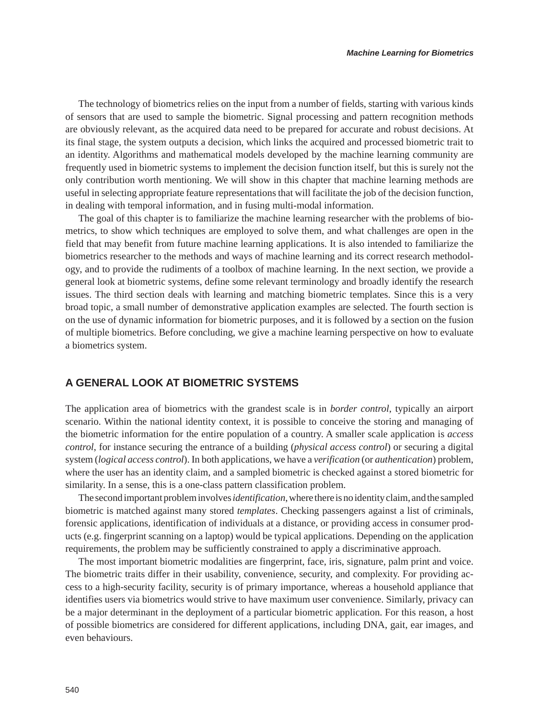The technology of biometrics relies on the input from a number of fields, starting with various kinds of sensors that are used to sample the biometric. Signal processing and pattern recognition methods are obviously relevant, as the acquired data need to be prepared for accurate and robust decisions. At its final stage, the system outputs a decision, which links the acquired and processed biometric trait to an identity. Algorithms and mathematical models developed by the machine learning community are frequently used in biometric systems to implement the decision function itself, but this is surely not the only contribution worth mentioning. We will show in this chapter that machine learning methods are useful in selecting appropriate feature representations that will facilitate the job of the decision function, in dealing with temporal information, and in fusing multi-modal information.

The goal of this chapter is to familiarize the machine learning researcher with the problems of biometrics, to show which techniques are employed to solve them, and what challenges are open in the field that may benefit from future machine learning applications. It is also intended to familiarize the biometrics researcher to the methods and ways of machine learning and its correct research methodology, and to provide the rudiments of a toolbox of machine learning. In the next section, we provide a general look at biometric systems, define some relevant terminology and broadly identify the research issues. The third section deals with learning and matching biometric templates. Since this is a very broad topic, a small number of demonstrative application examples are selected. The fourth section is on the use of dynamic information for biometric purposes, and it is followed by a section on the fusion of multiple biometrics. Before concluding, we give a machine learning perspective on how to evaluate a biometrics system.

#### **A GENERAL LOOK AT bIOMETRIC SYSTEMS**

The application area of biometrics with the grandest scale is in *border control*, typically an airport scenario. Within the national identity context, it is possible to conceive the storing and managing of the biometric information for the entire population of a country. A smaller scale application is *access control*, for instance securing the entrance of a building (*physical access control*) or securing a digital system (*logical access control*). In both applications, we have a *verification* (or *authentication*) problem, where the user has an identity claim, and a sampled biometric is checked against a stored biometric for similarity. In a sense, this is a one-class pattern classification problem.

The second important problem involves *identification*, where there is no identity claim, and the sampled biometric is matched against many stored *templates*. Checking passengers against a list of criminals, forensic applications, identification of individuals at a distance, or providing access in consumer products (e.g. fingerprint scanning on a laptop) would be typical applications. Depending on the application requirements, the problem may be sufficiently constrained to apply a discriminative approach.

The most important biometric modalities are fingerprint, face, iris, signature, palm print and voice. The biometric traits differ in their usability, convenience, security, and complexity. For providing access to a high-security facility, security is of primary importance, whereas a household appliance that identifies users via biometrics would strive to have maximum user convenience. Similarly, privacy can be a major determinant in the deployment of a particular biometric application. For this reason, a host of possible biometrics are considered for different applications, including DNA, gait, ear images, and even behaviours.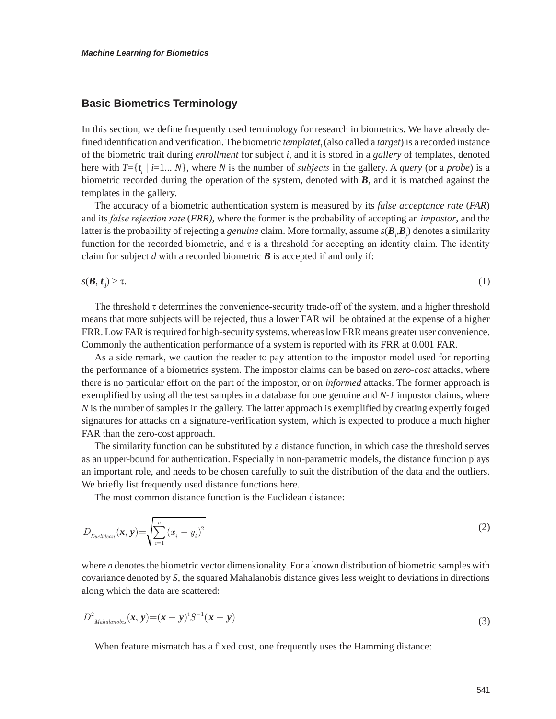#### **basic biometrics Terminology**

In this section, we define frequently used terminology for research in biometrics. We have already defined identification and verification. The biometric *templatet <sup>i</sup>* (also called a *target*) is a recorded instance of the biometric trait during *enrollment* for subject *i*, and it is stored in a *gallery* of templates, denoted here with *T*={*t <sup>i</sup> | i*=1... *N*}, where *N* is the number of *subjects* in the gallery. A *query* (or a *probe*) is a biometric recorded during the operation of the system, denoted with *B*, and it is matched against the templates in the gallery.

The accuracy of a biometric authentication system is measured by its *false acceptance rate* (*FAR*) and its *false rejection rate* (*FRR)*, where the former is the probability of accepting an *impostor*, and the latter is the probability of rejecting a *genuine* claim. More formally, assume *s*(*B<sup>i</sup> ,Bj* ) denotes a similarity function for the recorded biometric, and  $\tau$  is a threshold for accepting an identity claim. The identity claim for subject *d* with a recorded biometric *B* is accepted if and only if:

$$
s(\mathbf{B}, t_{d}) > \tau.
$$
 (1)

The threshold  $\tau$  determines the convenience-security trade-off of the system, and a higher threshold means that more subjects will be rejected, thus a lower FAR will be obtained at the expense of a higher FRR. Low FAR is required for high-security systems, whereas low FRR means greater user convenience. Commonly the authentication performance of a system is reported with its FRR at 0.001 FAR.

As a side remark, we caution the reader to pay attention to the impostor model used for reporting the performance of a biometrics system. The impostor claims can be based on *zero-cost* attacks, where there is no particular effort on the part of the impostor, or on *informed* attacks. The former approach is exemplified by using all the test samples in a database for one genuine and *N-1* impostor claims, where *N* is the number of samples in the gallery. The latter approach is exemplified by creating expertly forged signatures for attacks on a signature-verification system, which is expected to produce a much higher FAR than the zero-cost approach.

The similarity function can be substituted by a distance function, in which case the threshold serves as an upper-bound for authentication. Especially in non-parametric models, the distance function plays an important role, and needs to be chosen carefully to suit the distribution of the data and the outliers. We briefly list frequently used distance functions here.

The most common distance function is the Euclidean distance:

$$
D_{Euclidean}(\mathbf{x}, \mathbf{y}) = \sqrt{\sum_{i=1}^{n} (x_i - y_i)^2}
$$
 (2)

where *n* denotes the biometric vector dimensionality. For a known distribution of biometric samples with covariance denoted by *S*, the squared Mahalanobis distance gives less weight to deviations in directions along which the data are scattered:

$$
D^2_{\substack{\text{Mahalanobis}}}\left(\mathbf{x},\mathbf{y}\right) = \left(\mathbf{x} - \mathbf{y}\right)^{\mathrm{t}}S^{-1}\left(\mathbf{x} - \mathbf{y}\right) \tag{3}
$$

When feature mismatch has a fixed cost, one frequently uses the Hamming distance: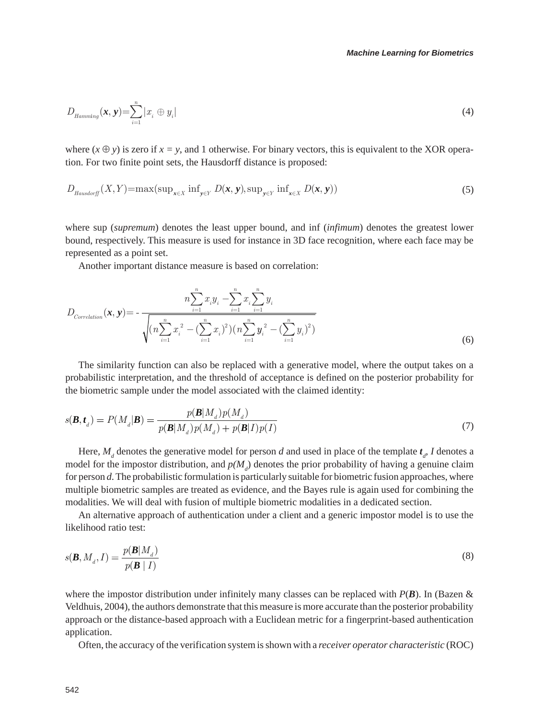$$
D_{Hamming}(\mathbf{x}, \mathbf{y}) = \sum_{i=1}^{n} |x_i \oplus y_i| \tag{4}
$$

where  $(x \oplus y)$  is zero if  $x = y$ , and 1 otherwise. For binary vectors, this is equivalent to the XOR operation. For two finite point sets, the Hausdorff distance is proposed:

$$
D_{\text{Hausdorff}}(X, Y) = \max(\sup_{\mathbf{x} \in X} \inf_{\mathbf{y} \in Y} D(\mathbf{x}, \mathbf{y}), \sup_{\mathbf{y} \in Y} \inf_{\mathbf{x} \in X} D(\mathbf{x}, \mathbf{y}))
$$
(5)

where sup (*supremum*) denotes the least upper bound, and inf (*infimum*) denotes the greatest lower bound, respectively. This measure is used for instance in 3D face recognition, where each face may be represented as a point set.

Another important distance measure is based on correlation:

$$
D_{\text{Correlation}}(\mathbf{x}, \mathbf{y}) = -\frac{n \sum_{i=1}^{n} x_i y_i - \sum_{i=1}^{n} x_i \sum_{i=1}^{n} y_i}{\sqrt{(n \sum_{i=1}^{n} x_i^2 - (\sum_{i=1}^{n} x_i)^2)(n \sum_{i=1}^{n} y_i^2 - (\sum_{i=1}^{n} y_i)^2)}}
$$
(6)

The similarity function can also be replaced with a generative model, where the output takes on a probabilistic interpretation, and the threshold of acceptance is defined on the posterior probability for the biometric sample under the model associated with the claimed identity:

$$
s(\mathbf{B}, \mathbf{t}_d) = P(M_d | \mathbf{B}) = \frac{p(\mathbf{B}|M_d)p(M_d)}{p(\mathbf{B}|M_d)p(M_d) + p(\mathbf{B}|I)p(I)}
$$
\n<sup>(7)</sup>

Here,  $M_d$  denotes the generative model for person  $d$  and used in place of the template  $t_d$ ,  $I$  denotes a model for the impostor distribution, and  $p(M_d)$  denotes the prior probability of having a genuine claim for person *d*. The probabilistic formulation is particularly suitable for biometric fusion approaches, where multiple biometric samples are treated as evidence, and the Bayes rule is again used for combining the modalities. We will deal with fusion of multiple biometric modalities in a dedicated section.

An alternative approach of authentication under a client and a generic impostor model is to use the likelihood ratio test:

$$
s(\mathbf{B}, M_a, I) = \frac{p(\mathbf{B}|M_a)}{p(\mathbf{B} | I)}
$$
(8)

where the impostor distribution under infinitely many classes can be replaced with *P*(*B*). In (Bazen & Veldhuis, 2004), the authors demonstrate that this measure is more accurate than the posterior probability approach or the distance-based approach with a Euclidean metric for a fingerprint-based authentication application.

Often, the accuracy of the verification system is shown with a *receiver operator characteristic* (ROC)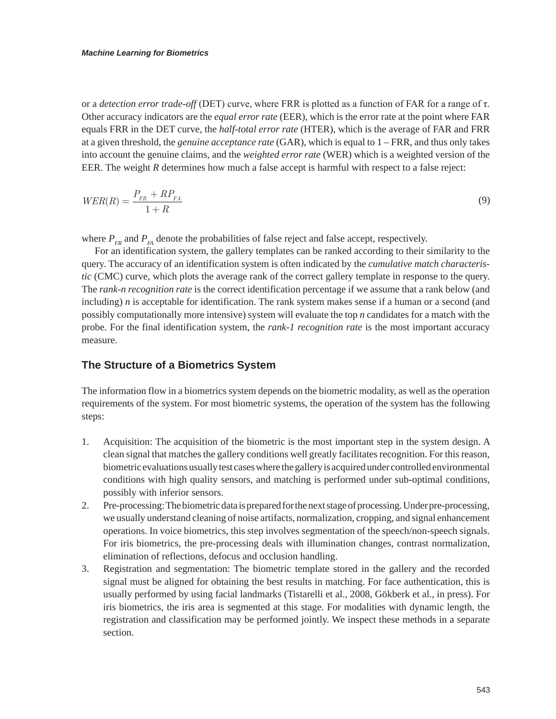or a *detection error trade-off* (DET) curve, where FRR is plotted as a function of FAR for a range of τ. Other accuracy indicators are the *equal error rate* (EER), which is the error rate at the point where FAR equals FRR in the DET curve, the *half-total error rate* (HTER), which is the average of FAR and FRR at a given threshold, the *genuine acceptance rate* (GAR), which is equal to 1 – FRR, and thus only takes into account the genuine claims, and the *weighted error rate* (WER) which is a weighted version of the EER. The weight *R* determines how much a false accept is harmful with respect to a false reject:

$$
WER(R) = \frac{P_{FR} + RP_{FA}}{1 + R}
$$
\n<sup>(9)</sup>

where  $P_{FR}$  and  $P_{FA}$  denote the probabilities of false reject and false accept, respectively.

For an identification system, the gallery templates can be ranked according to their similarity to the query. The accuracy of an identification system is often indicated by the *cumulative match characteristic* (CMC) curve, which plots the average rank of the correct gallery template in response to the query. The *rank-n recognition rate* is the correct identification percentage if we assume that a rank below (and including) *n* is acceptable for identification. The rank system makes sense if a human or a second (and possibly computationally more intensive) system will evaluate the top *n* candidates for a match with the probe. For the final identification system, the *rank-1 recognition rate* is the most important accuracy measure.

## **The Structure of a biometrics System**

The information flow in a biometrics system depends on the biometric modality, as well as the operation requirements of the system. For most biometric systems, the operation of the system has the following steps:

- 1. Acquisition: The acquisition of the biometric is the most important step in the system design. A clean signal that matches the gallery conditions well greatly facilitates recognition. For this reason, biometric evaluations usually test cases where the gallery is acquired under controlled environmental conditions with high quality sensors, and matching is performed under sub-optimal conditions, possibly with inferior sensors.
- 2. Pre-processing:Thebiometricdataispreparedforthenextstageofprocessing.Underpre-processing, we usually understand cleaning of noise artifacts, normalization, cropping, and signal enhancement operations. In voice biometrics, this step involves segmentation of the speech/non-speech signals. For iris biometrics, the pre-processing deals with illumination changes, contrast normalization, elimination of reflections, defocus and occlusion handling.
- 3. Registration and segmentation: The biometric template stored in the gallery and the recorded signal must be aligned for obtaining the best results in matching. For face authentication, this is usually performed by using facial landmarks (Tistarelli et al., 2008, Gökberk et al., in press). For iris biometrics, the iris area is segmented at this stage. For modalities with dynamic length, the registration and classification may be performed jointly. We inspect these methods in a separate section.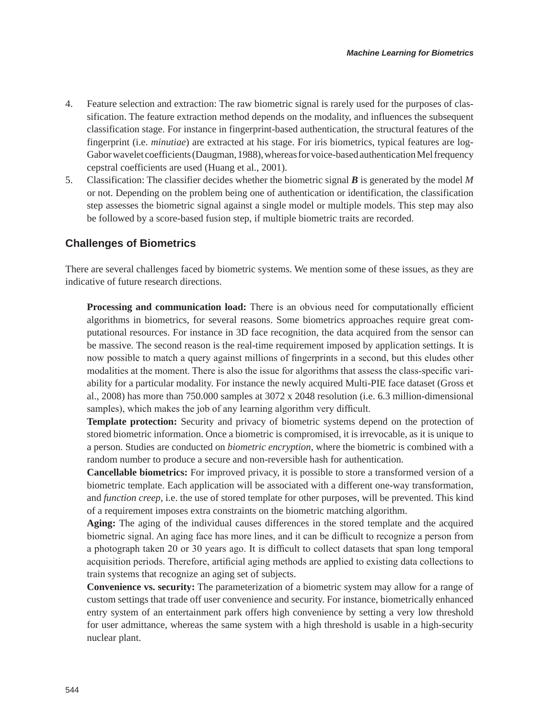- 4. Feature selection and extraction: The raw biometric signal is rarely used for the purposes of classification. The feature extraction method depends on the modality, and influences the subsequent classification stage. For instance in fingerprint-based authentication, the structural features of the fingerprint (i.e. *minutiae*) are extracted at his stage. For iris biometrics, typical features are log-Gabor wavelet coefficients (Daugman, 1988), whereas for voice-based authentication Mel frequency cepstral coefficients are used (Huang et al., 2001).
- 5. Classification: The classifier decides whether the biometric signal *B* is generated by the model *M* or not. Depending on the problem being one of authentication or identification, the classification step assesses the biometric signal against a single model or multiple models. This step may also be followed by a score-based fusion step, if multiple biometric traits are recorded.

# **Challenges of biometrics**

There are several challenges faced by biometric systems. We mention some of these issues, as they are indicative of future research directions.

**Processing and communication load:** There is an obvious need for computationally efficient algorithms in biometrics, for several reasons. Some biometrics approaches require great computational resources. For instance in 3D face recognition, the data acquired from the sensor can be massive. The second reason is the real-time requirement imposed by application settings. It is now possible to match a query against millions of fingerprints in a second, but this eludes other modalities at the moment. There is also the issue for algorithms that assess the class-specific variability for a particular modality. For instance the newly acquired Multi-PIE face dataset (Gross et al., 2008) has more than 750.000 samples at 3072 x 2048 resolution (i.e. 6.3 million-dimensional samples), which makes the job of any learning algorithm very difficult.

**Template protection:** Security and privacy of biometric systems depend on the protection of stored biometric information. Once a biometric is compromised, it is irrevocable, as it is unique to a person. Studies are conducted on *biometric encryption*, where the biometric is combined with a random number to produce a secure and non-reversible hash for authentication.

**Cancellable biometrics:** For improved privacy, it is possible to store a transformed version of a biometric template. Each application will be associated with a different one-way transformation, and *function creep*, i.e. the use of stored template for other purposes, will be prevented. This kind of a requirement imposes extra constraints on the biometric matching algorithm.

**Aging:** The aging of the individual causes differences in the stored template and the acquired biometric signal. An aging face has more lines, and it can be difficult to recognize a person from a photograph taken 20 or 30 years ago. It is difficult to collect datasets that span long temporal acquisition periods. Therefore, artificial aging methods are applied to existing data collections to train systems that recognize an aging set of subjects.

**Convenience vs. security:** The parameterization of a biometric system may allow for a range of custom settings that trade off user convenience and security. For instance, biometrically enhanced entry system of an entertainment park offers high convenience by setting a very low threshold for user admittance, whereas the same system with a high threshold is usable in a high-security nuclear plant.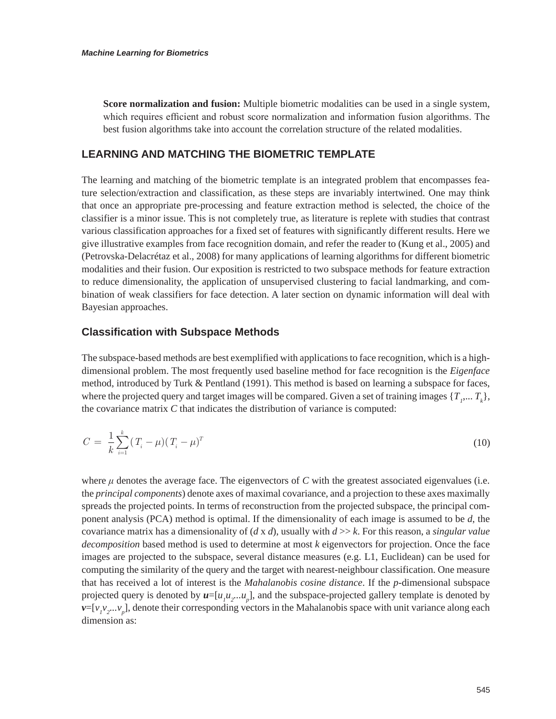**Score normalization and fusion:** Multiple biometric modalities can be used in a single system, which requires efficient and robust score normalization and information fusion algorithms. The best fusion algorithms take into account the correlation structure of the related modalities.

## **LEARNING AND MATCHING THE bIOMETRIC TEMPLATE**

The learning and matching of the biometric template is an integrated problem that encompasses feature selection/extraction and classification, as these steps are invariably intertwined. One may think that once an appropriate pre-processing and feature extraction method is selected, the choice of the classifier is a minor issue. This is not completely true, as literature is replete with studies that contrast various classification approaches for a fixed set of features with significantly different results. Here we give illustrative examples from face recognition domain, and refer the reader to (Kung et al., 2005) and (Petrovska-Delacrétaz et al., 2008) for many applications of learning algorithms for different biometric modalities and their fusion. Our exposition is restricted to two subspace methods for feature extraction to reduce dimensionality, the application of unsupervised clustering to facial landmarking, and combination of weak classifiers for face detection. A later section on dynamic information will deal with Bayesian approaches.

## **Classification with Subspace Methods**

The subspace-based methods are best exemplified with applications to face recognition, which is a highdimensional problem. The most frequently used baseline method for face recognition is the *Eigenface* method, introduced by Turk & Pentland (1991). This method is based on learning a subspace for faces, where the projected query and target images will be compared. Given a set of training images  $\{T_{_I},\!\dots\, T_{_k}\}$  , the covariance matrix *C* that indicates the distribution of variance is computed:

$$
C = \frac{1}{k} \sum_{i=1}^{k} (T_i - \mu) (T_i - \mu)^T
$$
\n(10)

where  $\mu$  denotes the average face. The eigenvectors of *C* with the greatest associated eigenvalues (i.e. the *principal components*) denote axes of maximal covariance, and a projection to these axes maximally spreads the projected points. In terms of reconstruction from the projected subspace, the principal component analysis (PCA) method is optimal. If the dimensionality of each image is assumed to be *d*, the covariance matrix has a dimensionality of  $(d \times d)$ , usually with  $d \gt\gt k$ . For this reason, a *singular value decomposition* based method is used to determine at most *k* eigenvectors for projection. Once the face images are projected to the subspace, several distance measures (e.g. L1, Euclidean) can be used for computing the similarity of the query and the target with nearest-neighbour classification. One measure that has received a lot of interest is the *Mahalanobis cosine distance*. If the *p-*dimensional subspace projected query is denoted by  $u=[u_1u_2...u_p]$ , and the subspace-projected gallery template is denoted by  $v=[v_1v_2...v_p]$ , denote their corresponding vectors in the Mahalanobis space with unit variance along each dimension as: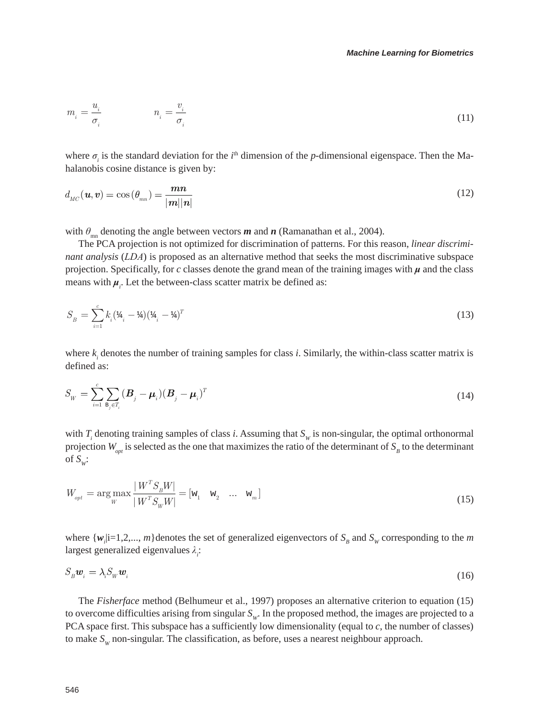$$
m_i = \frac{u_i}{\sigma_i} \qquad n_i = \frac{v_i}{\sigma_i} \tag{11}
$$

where  $\sigma$ <sub>*i*</sub> is the standard deviation for the *i*<sup>th</sup> dimension of the *p*-dimensional eigenspace. Then the Mahalanobis cosine distance is given by:

$$
d_{MC}(\boldsymbol{u},\boldsymbol{v}) = \cos(\theta_{mn}) = \frac{mn}{|\boldsymbol{m}||\boldsymbol{n}|}
$$
(12)

with  $\theta_{mn}$  denoting the angle between vectors *m* and *n* (Ramanathan et al., 2004).

The PCA projection is not optimized for discrimination of patterns. For this reason, *linear discriminant analysis* (*LDA*) is proposed as an alternative method that seeks the most discriminative subspace projection. Specifically, for *c* classes denote the grand mean of the training images with *μ* and the class means with  $\mu_{i}$ . Let the between-class scatter matrix be defined as:

$$
S_B = \sum_{i=1}^{c} k_i (4_i - 4) (4_i - 4)^T
$$
\n(13)

where *ki* denotes the number of training samples for class *i*. Similarly, the within-class scatter matrix is defined as:

$$
S_{W} = \sum_{i=1}^{c} \sum_{\mathbf{B}_{j} \in T_{i}} (\boldsymbol{B}_{j} - \boldsymbol{\mu}_{i}) (\boldsymbol{B}_{j} - \boldsymbol{\mu}_{i})^{T}
$$
(14)

with  $T_i$  denoting training samples of class *i*. Assuming that  $S_w$  is non-singular, the optimal orthonormal projection  $W_{opt}$  is selected as the one that maximizes the ratio of the determinant of  $S_B$  to the determinant of  $S_w$ :

$$
W_{opt} = \underset{W}{\arg \max} \frac{|W^T S_B W|}{|W^T S_W W|} = [\mathbf{W}_1 \quad \mathbf{W}_2 \quad \dots \quad \mathbf{W}_m]
$$
\n(15)

where  $\{w_i|$ i=1,2,..., *m*}denotes the set of generalized eigenvectors of  $S_B$  and  $S_W$  corresponding to the *m* largest generalized eigenvalues *λ<sup>i</sup>* :

$$
S_{\scriptscriptstyle B}\mathbf{w}_{\scriptscriptstyle i} = \lambda_{\scriptscriptstyle i} S_{\scriptscriptstyle W}\mathbf{w}_{\scriptscriptstyle i} \tag{16}
$$

The *Fisherface* method (Belhumeur et al., 1997) proposes an alternative criterion to equation (15) to overcome difficulties arising from singular  $S_{w}$ . In the proposed method, the images are projected to a PCA space first. This subspace has a sufficiently low dimensionality (equal to *c*, the number of classes) to make  $S_w$  non-singular. The classification, as before, uses a nearest neighbour approach.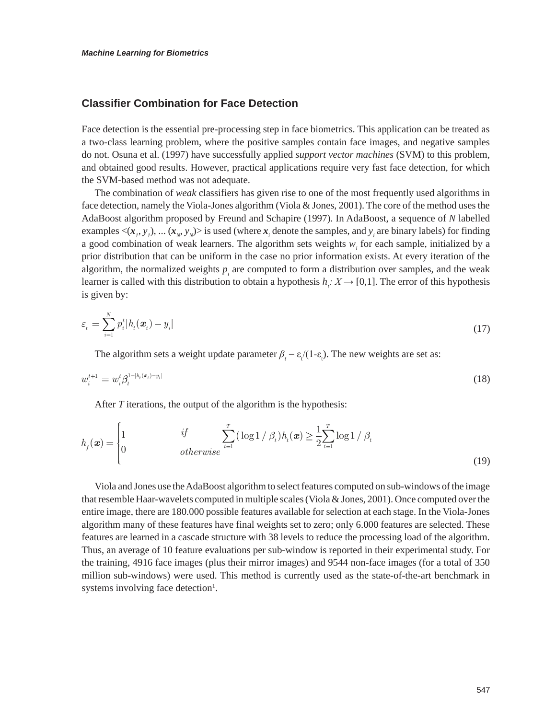# **Classifier Combination for Face Detection**

Face detection is the essential pre-processing step in face biometrics. This application can be treated as a two-class learning problem, where the positive samples contain face images, and negative samples do not. Osuna et al. (1997) have successfully applied *support vector machines* (SVM) to this problem, and obtained good results. However, practical applications require very fast face detection, for which the SVM-based method was not adequate.

The combination of *weak* classifiers has given rise to one of the most frequently used algorithms in face detection, namely the Viola-Jones algorithm (Viola & Jones, 2001). The core of the method uses the AdaBoost algorithm proposed by Freund and Schapire (1997). In AdaBoost, a sequence of *N* labelled examples  $\langle (x_1, y_1), ..., (x_N, y_N) \rangle$  is used (where  $x_i$  denote the samples, and  $y_i$  are binary labels) for finding a good combination of weak learners. The algorithm sets weights  $w_i$  for each sample, initialized by a prior distribution that can be uniform in the case no prior information exists. At every iteration of the algorithm, the normalized weights  $p_i$  are computed to form a distribution over samples, and the weak learner is called with this distribution to obtain a hypothesis  $h_t: X \to [0,1]$ . The error of this hypothesis is given by:

$$
\varepsilon_t = \sum_{i=1}^N p_i^t |h_t(\boldsymbol{x}_i) - y_i| \tag{17}
$$

The algorithm sets a weight update parameter  $\beta_t = \varepsilon_t/(1-\varepsilon_t)$ . The new weights are set as:

$$
w_i^{t+1} = w_i^t \beta_t^{1-|h_i(x_i) - y_i|}
$$
\n(18)

After *T* iterations, the output of the algorithm is the hypothesis:

$$
h_f(\boldsymbol{x}) = \begin{cases} 1 & \text{if } \sum_{t=1}^T (\log 1 / \beta_t) h_t(\boldsymbol{x}) \ge \frac{1}{2} \sum_{t=1}^T \log 1 / \beta_t \\ 0 & \text{otherwise} \end{cases}
$$
(19)

Viola and Jones use the AdaBoost algorithm to select features computed on sub-windows of the image that resemble Haar-wavelets computed in multiple scales (Viola & Jones, 2001). Once computed over the entire image, there are 180.000 possible features available for selection at each stage. In the Viola-Jones algorithm many of these features have final weights set to zero; only 6.000 features are selected. These features are learned in a cascade structure with 38 levels to reduce the processing load of the algorithm. Thus, an average of 10 feature evaluations per sub-window is reported in their experimental study. For the training, 4916 face images (plus their mirror images) and 9544 non-face images (for a total of 350 million sub-windows) were used. This method is currently used as the state-of-the-art benchmark in systems involving face detection $<sup>1</sup>$ .</sup>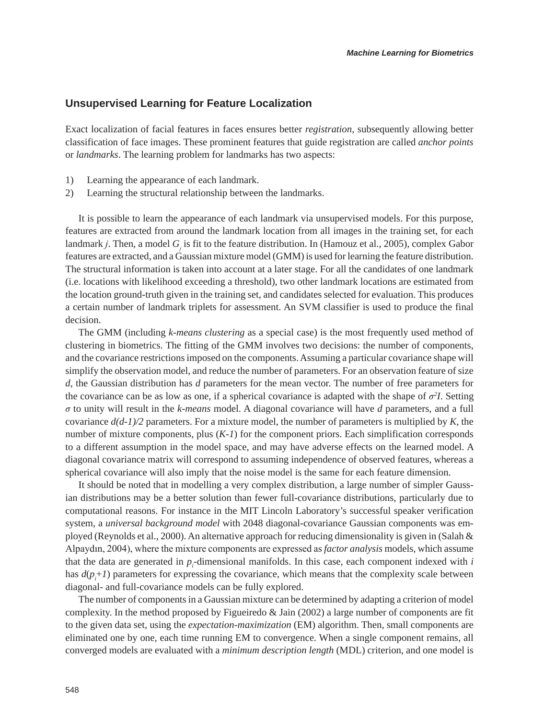#### **Unsupervised Learning for Feature Localization**

Exact localization of facial features in faces ensures better *registration*, subsequently allowing better classification of face images. These prominent features that guide registration are called *anchor points* or *landmarks*. The learning problem for landmarks has two aspects:

- 1) Learning the appearance of each landmark.
- 2) Learning the structural relationship between the landmarks.

It is possible to learn the appearance of each landmark via unsupervised models. For this purpose, features are extracted from around the landmark location from all images in the training set, for each landmark *j*. Then, a model *G<sup>j</sup>* is fit to the feature distribution. In (Hamouz et al., 2005), complex Gabor features are extracted, and a Gaussian mixture model (GMM) is used for learning the feature distribution. The structural information is taken into account at a later stage. For all the candidates of one landmark (i.e. locations with likelihood exceeding a threshold), two other landmark locations are estimated from the location ground-truth given in the training set, and candidates selected for evaluation. This produces a certain number of landmark triplets for assessment. An SVM classifier is used to produce the final decision.

The GMM (including *k-means clustering* as a special case) is the most frequently used method of clustering in biometrics. The fitting of the GMM involves two decisions: the number of components, and the covariance restrictions imposed on the components.Assuming a particular covariance shape will simplify the observation model, and reduce the number of parameters. For an observation feature of size *d*, the Gaussian distribution has *d* parameters for the mean vector. The number of free parameters for the covariance can be as low as one, if a spherical covariance is adapted with the shape of *σ<sup>2</sup> I*. Setting *σ* to unity will result in the *k-means* model. A diagonal covariance will have *d* parameters, and a full covariance *d(d-1)/2* parameters. For a mixture model, the number of parameters is multiplied by *K,* the number of mixture components, plus (*K-1*) for the component priors. Each simplification corresponds to a different assumption in the model space, and may have adverse effects on the learned model. A diagonal covariance matrix will correspond to assuming independence of observed features, whereas a spherical covariance will also imply that the noise model is the same for each feature dimension.

It should be noted that in modelling a very complex distribution, a large number of simpler Gaussian distributions may be a better solution than fewer full-covariance distributions, particularly due to computational reasons. For instance in the MIT Lincoln Laboratory's successful speaker verification system, a *universal background model* with 2048 diagonal-covariance Gaussian components was employed (Reynolds et al., 2000). An alternative approach for reducing dimensionality is given in (Salah & Alpaydın, 2004), where the mixture components are expressed as *factor analysis* models, which assume that the data are generated in  $p_i$ -dimensional manifolds. In this case, each component indexed with  $i$ has  $d(p_i+1)$  parameters for expressing the covariance, which means that the complexity scale between diagonal- and full-covariance models can be fully explored.

The number of components in a Gaussian mixture can be determined by adapting a criterion of model complexity. In the method proposed by Figueiredo & Jain (2002) a large number of components are fit to the given data set, using the *expectation-maximization* (EM) algorithm. Then, small components are eliminated one by one, each time running EM to convergence. When a single component remains, all converged models are evaluated with a *minimum description length* (MDL) criterion, and one model is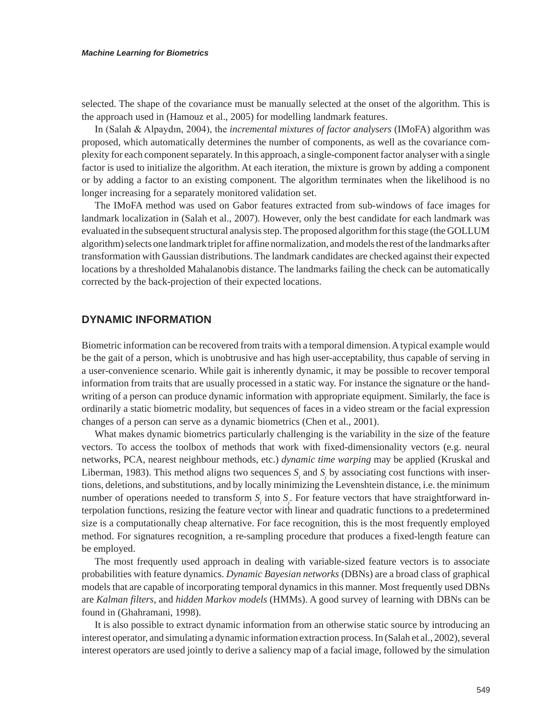selected. The shape of the covariance must be manually selected at the onset of the algorithm. This is the approach used in (Hamouz et al., 2005) for modelling landmark features.

In (Salah & Alpaydın, 2004), the *incremental mixtures of factor analysers* (IMoFA) algorithm was proposed, which automatically determines the number of components, as well as the covariance complexity for each component separately. In this approach, a single-component factor analyser with a single factor is used to initialize the algorithm. At each iteration, the mixture is grown by adding a component or by adding a factor to an existing component. The algorithm terminates when the likelihood is no longer increasing for a separately monitored validation set.

The IMoFA method was used on Gabor features extracted from sub-windows of face images for landmark localization in (Salah et al., 2007). However, only the best candidate for each landmark was evaluated in the subsequent structural analysis step. The proposed algorithm for this stage (the GOLLUM algorithm) selects one landmark triplet for affine normalization, and models the rest of the landmarks after transformation with Gaussian distributions. The landmark candidates are checked against their expected locations by a thresholded Mahalanobis distance. The landmarks failing the check can be automatically corrected by the back-projection of their expected locations.

## **DYNAMIC INFORMATION**

Biometric information can be recovered from traits with a temporal dimension. A typical example would be the gait of a person, which is unobtrusive and has high user-acceptability, thus capable of serving in a user-convenience scenario. While gait is inherently dynamic, it may be possible to recover temporal information from traits that are usually processed in a static way. For instance the signature or the handwriting of a person can produce dynamic information with appropriate equipment. Similarly, the face is ordinarily a static biometric modality, but sequences of faces in a video stream or the facial expression changes of a person can serve as a dynamic biometrics (Chen et al., 2001).

What makes dynamic biometrics particularly challenging is the variability in the size of the feature vectors. To access the toolbox of methods that work with fixed-dimensionality vectors (e.g. neural networks, PCA, nearest neighbour methods, etc.) *dynamic time warping* may be applied (Kruskal and Liberman, 1983). This method aligns two sequences  $S_i$  and  $S_j$  by associating cost functions with insertions, deletions, and substitutions, and by locally minimizing the Levenshtein distance, i.e. the minimum number of operations needed to transform  $S_i$  into  $S_j$ . For feature vectors that have straightforward interpolation functions, resizing the feature vector with linear and quadratic functions to a predetermined size is a computationally cheap alternative. For face recognition, this is the most frequently employed method. For signatures recognition, a re-sampling procedure that produces a fixed-length feature can be employed.

The most frequently used approach in dealing with variable-sized feature vectors is to associate probabilities with feature dynamics. *Dynamic Bayesian networks* (DBNs) are a broad class of graphical models that are capable of incorporating temporal dynamics in this manner. Most frequently used DBNs are *Kalman filters*, and *hidden Markov models* (HMMs). A good survey of learning with DBNs can be found in (Ghahramani, 1998).

It is also possible to extract dynamic information from an otherwise static source by introducing an interest operator, and simulating a dynamic information extraction process. In (Salah et al., 2002), several interest operators are used jointly to derive a saliency map of a facial image, followed by the simulation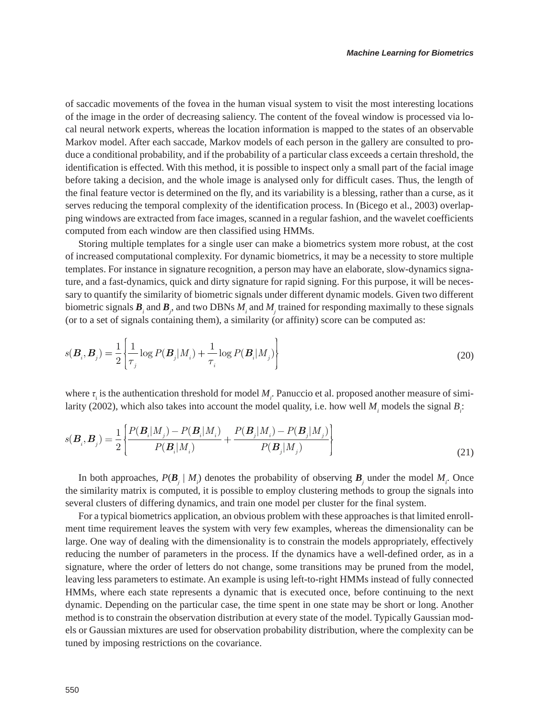of saccadic movements of the fovea in the human visual system to visit the most interesting locations of the image in the order of decreasing saliency. The content of the foveal window is processed via local neural network experts, whereas the location information is mapped to the states of an observable Markov model. After each saccade, Markov models of each person in the gallery are consulted to produce a conditional probability, and if the probability of a particular class exceeds a certain threshold, the identification is effected. With this method, it is possible to inspect only a small part of the facial image before taking a decision, and the whole image is analysed only for difficult cases. Thus, the length of the final feature vector is determined on the fly, and its variability is a blessing, rather than a curse, as it serves reducing the temporal complexity of the identification process. In (Bicego et al., 2003) overlapping windows are extracted from face images, scanned in a regular fashion, and the wavelet coefficients computed from each window are then classified using HMMs.

Storing multiple templates for a single user can make a biometrics system more robust, at the cost of increased computational complexity. For dynamic biometrics, it may be a necessity to store multiple templates. For instance in signature recognition, a person may have an elaborate, slow-dynamics signature, and a fast-dynamics, quick and dirty signature for rapid signing. For this purpose, it will be necessary to quantify the similarity of biometric signals under different dynamic models. Given two different biometric signals  $B_i$  and  $B_j$ , and two DBNs  $M_i$  and  $M_j$  trained for responding maximally to these signals (or to a set of signals containing them), a similarity (or affinity) score can be computed as:

$$
s(\boldsymbol{B}_i, \boldsymbol{B}_j) = \frac{1}{2} \left\{ \frac{1}{\tau_j} \log P(\boldsymbol{B}_j | M_i) + \frac{1}{\tau_i} \log P(\boldsymbol{B}_i | M_j) \right\}
$$
(20)

where  $\tau_{\rm i}$  is the authentication threshold for model  $M_{\rm i}$ . Panuccio et al. proposed another measure of similarity (2002), which also takes into account the model quality, i.e. how well  $M_i$  models the signal  $B_i$ :

$$
s(\boldsymbol{B}_i, \boldsymbol{B}_j) = \frac{1}{2} \left\{ \frac{P(\boldsymbol{B}_i | M_j) - P(\boldsymbol{B}_i | M_i)}{P(\boldsymbol{B}_i | M_i)} + \frac{P(\boldsymbol{B}_j | M_i) - P(\boldsymbol{B}_j | M_j)}{P(\boldsymbol{B}_j | M_j)} \right\}
$$
(21)

In both approaches,  $P(B_j | M_j)$  denotes the probability of observing  $B_j$  under the model  $M_i$ . Once the similarity matrix is computed, it is possible to employ clustering methods to group the signals into several clusters of differing dynamics, and train one model per cluster for the final system.

For a typical biometrics application, an obvious problem with these approaches is that limited enrollment time requirement leaves the system with very few examples, whereas the dimensionality can be large. One way of dealing with the dimensionality is to constrain the models appropriately, effectively reducing the number of parameters in the process. If the dynamics have a well-defined order, as in a signature, where the order of letters do not change, some transitions may be pruned from the model, leaving less parameters to estimate. An example is using left-to-right HMMs instead of fully connected HMMs, where each state represents a dynamic that is executed once, before continuing to the next dynamic. Depending on the particular case, the time spent in one state may be short or long. Another method is to constrain the observation distribution at every state of the model. Typically Gaussian models or Gaussian mixtures are used for observation probability distribution, where the complexity can be tuned by imposing restrictions on the covariance.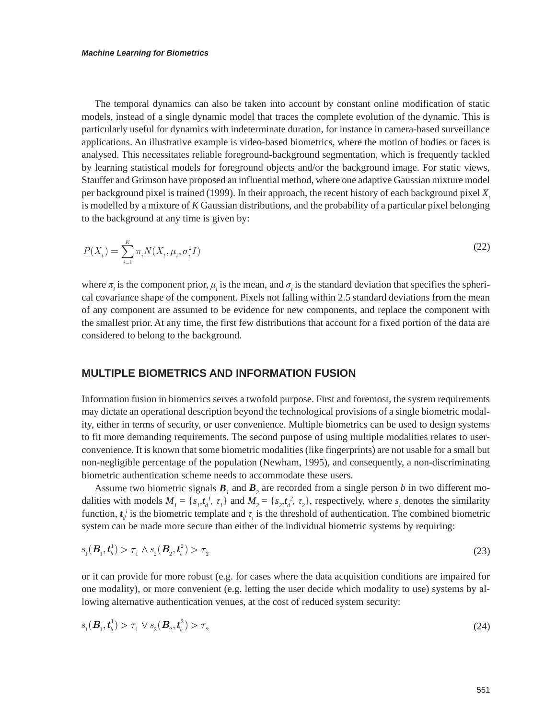The temporal dynamics can also be taken into account by constant online modification of static models, instead of a single dynamic model that traces the complete evolution of the dynamic. This is particularly useful for dynamics with indeterminate duration, for instance in camera-based surveillance applications. An illustrative example is video-based biometrics, where the motion of bodies or faces is analysed. This necessitates reliable foreground-background segmentation, which is frequently tackled by learning statistical models for foreground objects and/or the background image. For static views, Stauffer and Grimson have proposed an influential method, where one adaptive Gaussian mixture model per background pixel is trained (1999). In their approach, the recent history of each background pixel *Xt* is modelled by a mixture of *K* Gaussian distributions, and the probability of a particular pixel belonging to the background at any time is given by:

$$
P(X_t) = \sum_{i=1}^{K} \pi_i N(X_t, \mu_i, \sigma_i^2 I)
$$
\n(22)

where  $\pi$ *i* is the component prior,  $\mu$ *<sub>i</sub>* is the mean, and  $\sigma$ *<sub>i</sub>* is the standard deviation that specifies the spherical covariance shape of the component. Pixels not falling within 2.5 standard deviations from the mean of any component are assumed to be evidence for new components, and replace the component with the smallest prior. At any time, the first few distributions that account for a fixed portion of the data are considered to belong to the background.

## **MULTIPLE bIOMETRICS AND INFORMATION FUSION**

Information fusion in biometrics serves a twofold purpose. First and foremost, the system requirements may dictate an operational description beyond the technological provisions of a single biometric modality, either in terms of security, or user convenience. Multiple biometrics can be used to design systems to fit more demanding requirements. The second purpose of using multiple modalities relates to userconvenience. It is known that some biometric modalities (like fingerprints) are not usable for a small but non-negligible percentage of the population (Newham, 1995), and consequently, a non-discriminating biometric authentication scheme needs to accommodate these users.

Assume two biometric signals  $\bm{B}_1$  and  $\bm{B}_2$  are recorded from a single person *b* in two different modalities with models  $M_1 = \{s_1, t_d^1, \tau_1\}$  and  $M_2 = \{s_2, t_d^2, \tau_2\}$ , respectively, where  $s_i$  denotes the similarity function,  $t_d$ <sup>*i*</sup> is the biometric template and  $\tau_i$  is the threshold of authentication. The combined biometric system can be made more secure than either of the individual biometric systems by requiring:

$$
s_1(B_1, t_b^1) > \tau_1 \wedge s_2(B_2, t_b^2) > \tau_2 \tag{23}
$$

or it can provide for more robust (e.g. for cases where the data acquisition conditions are impaired for one modality), or more convenient (e.g. letting the user decide which modality to use) systems by allowing alternative authentication venues, at the cost of reduced system security:

$$
s_1(B_1, t_b^1) > \tau_1 \vee s_2(B_2, t_b^2) > \tau_2 \tag{24}
$$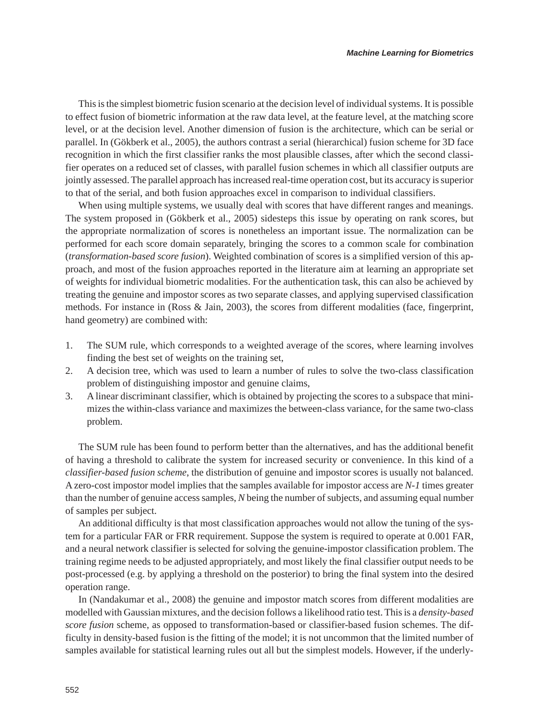This is the simplest biometric fusion scenario at the decision level of individual systems. It is possible to effect fusion of biometric information at the raw data level, at the feature level, at the matching score level, or at the decision level. Another dimension of fusion is the architecture, which can be serial or parallel. In (Gökberk et al., 2005), the authors contrast a serial (hierarchical) fusion scheme for 3D face recognition in which the first classifier ranks the most plausible classes, after which the second classifier operates on a reduced set of classes, with parallel fusion schemes in which all classifier outputs are jointly assessed. The parallel approach has increased real-time operation cost, but its accuracy is superior to that of the serial, and both fusion approaches excel in comparison to individual classifiers.

When using multiple systems, we usually deal with scores that have different ranges and meanings. The system proposed in (Gökberk et al., 2005) sidesteps this issue by operating on rank scores, but the appropriate normalization of scores is nonetheless an important issue. The normalization can be performed for each score domain separately, bringing the scores to a common scale for combination (*transformation-based score fusion*). Weighted combination of scores is a simplified version of this approach, and most of the fusion approaches reported in the literature aim at learning an appropriate set of weights for individual biometric modalities. For the authentication task, this can also be achieved by treating the genuine and impostor scores as two separate classes, and applying supervised classification methods. For instance in (Ross & Jain, 2003), the scores from different modalities (face, fingerprint, hand geometry) are combined with:

- 1. The SUM rule, which corresponds to a weighted average of the scores, where learning involves finding the best set of weights on the training set,
- 2. A decision tree, which was used to learn a number of rules to solve the two-class classification problem of distinguishing impostor and genuine claims,
- 3. A linear discriminant classifier, which is obtained by projecting the scores to a subspace that minimizes the within-class variance and maximizes the between-class variance, for the same two-class problem.

The SUM rule has been found to perform better than the alternatives, and has the additional benefit of having a threshold to calibrate the system for increased security or convenience. In this kind of a *classifier-based fusion scheme*, the distribution of genuine and impostor scores is usually not balanced. A zero-cost impostor model implies that the samples available for impostor access are *N-1* times greater than the number of genuine access samples, *N* being the number of subjects, and assuming equal number of samples per subject.

An additional difficulty is that most classification approaches would not allow the tuning of the system for a particular FAR or FRR requirement. Suppose the system is required to operate at 0.001 FAR, and a neural network classifier is selected for solving the genuine-impostor classification problem. The training regime needs to be adjusted appropriately, and most likely the final classifier output needs to be post-processed (e.g. by applying a threshold on the posterior) to bring the final system into the desired operation range.

In (Nandakumar et al., 2008) the genuine and impostor match scores from different modalities are modelled with Gaussian mixtures, and the decision follows a likelihood ratio test. This is a *density-based score fusion* scheme, as opposed to transformation-based or classifier-based fusion schemes. The difficulty in density-based fusion is the fitting of the model; it is not uncommon that the limited number of samples available for statistical learning rules out all but the simplest models. However, if the underly-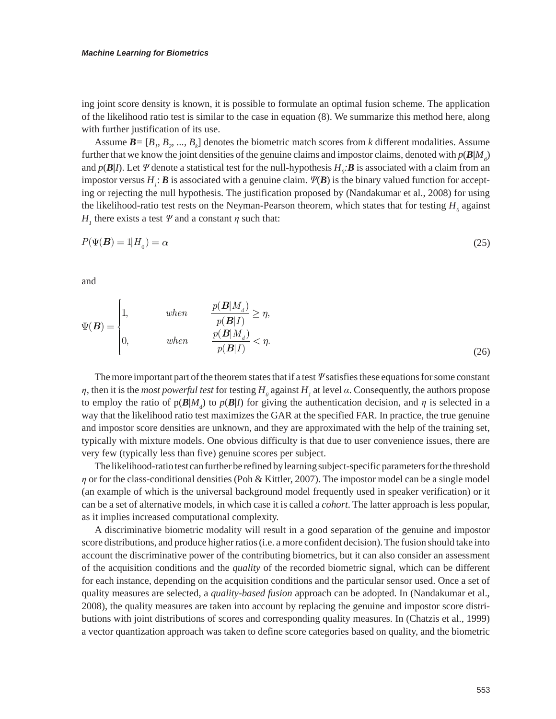ing joint score density is known, it is possible to formulate an optimal fusion scheme. The application of the likelihood ratio test is similar to the case in equation (8). We summarize this method here, along with further justification of its use.

Assume  $\mathbf{B} = [B_1, B_2, ..., B_k]$  denotes the biometric match scores from *k* different modalities. Assume further that we know the joint densities of the genuine claims and impostor claims, denoted with  $p(\bm{\mathcal{B}}|M_{d})$ and  $p(B|I)$ . Let  $\Psi$  denote a statistical test for the null-hypothesis  $H_o$ : $\bm{B}$  is associated with a claim from an impostor versus  $H_{_I}$ :  $\bm{B}$  is associated with a genuine claim.  $\mathscr{Y}(\bm{B})$  is the binary valued function for accepting or rejecting the null hypothesis. The justification proposed by (Nandakumar et al., 2008) for using the likelihood-ratio test rests on the Neyman-Pearson theorem, which states that for testing  $H<sub>0</sub>$  against  $H<sub>1</sub>$  there exists a test  $\Psi$  and a constant  $\eta$  such that:

$$
P(\Psi(\mathbf{B}) = 1 | H_0) = \alpha \tag{25}
$$

and

$$
\Psi(\mathbf{B}) = \begin{cases}\n1, & when & \frac{p(\mathbf{B}|M_d)}{p(\mathbf{B}|I)} \ge \eta, \\
0, & when & \frac{p(\mathbf{B}|M_d)}{p(\mathbf{B}|I)} < \eta.\n\end{cases}
$$
\n(26)

The more important part of the theorem states that if a test *Ψ* satisfies these equations for some constant *η*, then it is the *most powerful test* for testing  $H$ <sub>*0*</sub> against  $H$ , at level *α*. Consequently, the authors propose to employ the ratio of  $p(B|M_d)$  to  $p(B|I)$  for giving the authentication decision, and  $\eta$  is selected in a way that the likelihood ratio test maximizes the GAR at the specified FAR. In practice, the true genuine and impostor score densities are unknown, and they are approximated with the help of the training set, typically with mixture models. One obvious difficulty is that due to user convenience issues, there are very few (typically less than five) genuine scores per subject.

The likelihood-ratio test can further be refined by learning subject-specific parameters for the threshold *η* or for the class-conditional densities (Poh & Kittler, 2007). The impostor model can be a single model (an example of which is the universal background model frequently used in speaker verification) or it can be a set of alternative models, in which case it is called a *cohort*. The latter approach is less popular, as it implies increased computational complexity.

A discriminative biometric modality will result in a good separation of the genuine and impostor score distributions, and produce higher ratios (i.e. a more confident decision). The fusion should take into account the discriminative power of the contributing biometrics, but it can also consider an assessment of the acquisition conditions and the *quality* of the recorded biometric signal, which can be different for each instance, depending on the acquisition conditions and the particular sensor used. Once a set of quality measures are selected, a *quality-based fusion* approach can be adopted. In (Nandakumar et al., 2008), the quality measures are taken into account by replacing the genuine and impostor score distributions with joint distributions of scores and corresponding quality measures. In (Chatzis et al., 1999) a vector quantization approach was taken to define score categories based on quality, and the biometric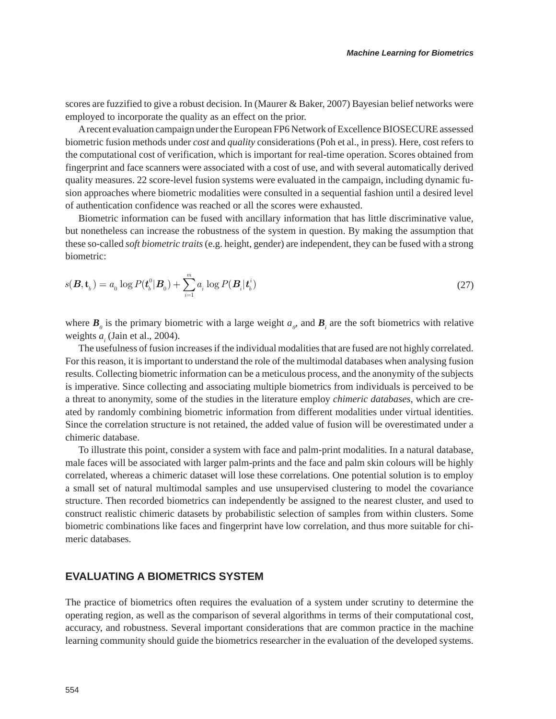scores are fuzzified to give a robust decision. In (Maurer & Baker, 2007) Bayesian belief networks were employed to incorporate the quality as an effect on the prior.

Arecent evaluation campaign under the European FP6 Network of Excellence BIOSECURE assessed biometric fusion methods under *cost* and *quality* considerations (Poh et al., in press). Here, cost refers to the computational cost of verification, which is important for real-time operation. Scores obtained from fingerprint and face scanners were associated with a cost of use, and with several automatically derived quality measures. 22 score-level fusion systems were evaluated in the campaign, including dynamic fusion approaches where biometric modalities were consulted in a sequential fashion until a desired level of authentication confidence was reached or all the scores were exhausted.

Biometric information can be fused with ancillary information that has little discriminative value, but nonetheless can increase the robustness of the system in question. By making the assumption that these so-called *soft biometric traits*(e.g. height, gender) are independent, they can be fused with a strong biometric:

$$
s(\boldsymbol{B}, \mathbf{t}_{b}) = a_0 \log P(\boldsymbol{t}_{b}^{0} | \boldsymbol{B}_0) + \sum_{i=1}^{m} a_i \log P(\boldsymbol{B}_i | \boldsymbol{t}_{b}^{i})
$$
\n(27)

where  $\bm{B}_0$  is the primary biometric with a large weight  $a_{\rho}$ , and  $\bm{B}_i$  are the soft biometrics with relative weights *ai* (Jain et al., 2004).

The usefulness of fusion increases if the individual modalities that are fused are not highly correlated. For this reason, it is important to understand the role of the multimodal databases when analysing fusion results. Collecting biometric information can be a meticulous process, and the anonymity of the subjects is imperative. Since collecting and associating multiple biometrics from individuals is perceived to be a threat to anonymity, some of the studies in the literature employ *chimeric databases*, which are created by randomly combining biometric information from different modalities under virtual identities. Since the correlation structure is not retained, the added value of fusion will be overestimated under a chimeric database.

To illustrate this point, consider a system with face and palm-print modalities. In a natural database, male faces will be associated with larger palm-prints and the face and palm skin colours will be highly correlated, whereas a chimeric dataset will lose these correlations. One potential solution is to employ a small set of natural multimodal samples and use unsupervised clustering to model the covariance structure. Then recorded biometrics can independently be assigned to the nearest cluster, and used to construct realistic chimeric datasets by probabilistic selection of samples from within clusters. Some biometric combinations like faces and fingerprint have low correlation, and thus more suitable for chimeric databases.

## **EVALUATING A bIOMETRICS SYSTEM**

The practice of biometrics often requires the evaluation of a system under scrutiny to determine the operating region, as well as the comparison of several algorithms in terms of their computational cost, accuracy, and robustness. Several important considerations that are common practice in the machine learning community should guide the biometrics researcher in the evaluation of the developed systems.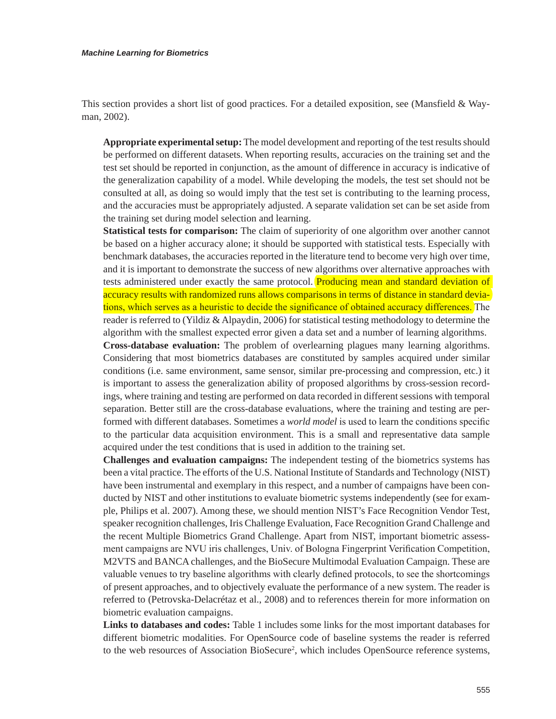This section provides a short list of good practices. For a detailed exposition, see (Mansfield & Wayman, 2002).

**Appropriate experimental setup:** The model development and reporting of the test results should be performed on different datasets. When reporting results, accuracies on the training set and the test set should be reported in conjunction, as the amount of difference in accuracy is indicative of the generalization capability of a model. While developing the models, the test set should not be consulted at all, as doing so would imply that the test set is contributing to the learning process, and the accuracies must be appropriately adjusted. A separate validation set can be set aside from the training set during model selection and learning.

**Statistical tests for comparison:** The claim of superiority of one algorithm over another cannot be based on a higher accuracy alone; it should be supported with statistical tests. Especially with benchmark databases, the accuracies reported in the literature tend to become very high over time, and it is important to demonstrate the success of new algorithms over alternative approaches with tests administered under exactly the same protocol. **Producing mean and standard deviation of** accuracy results with randomized runs allows comparisons in terms of distance in standard deviations, which serves as a heuristic to decide the significance of obtained accuracy differences. The reader is referred to (Yildiz & Alpaydin, 2006) for statistical testing methodology to determine the algorithm with the smallest expected error given a data set and a number of learning algorithms.

**Cross-database evaluation:** The problem of overlearning plagues many learning algorithms. Considering that most biometrics databases are constituted by samples acquired under similar conditions (i.e. same environment, same sensor, similar pre-processing and compression, etc.) it is important to assess the generalization ability of proposed algorithms by cross-session recordings, where training and testing are performed on data recorded in different sessions with temporal separation. Better still are the cross-database evaluations, where the training and testing are performed with different databases. Sometimes a *world model* is used to learn the conditions specific to the particular data acquisition environment. This is a small and representative data sample acquired under the test conditions that is used in addition to the training set.

**Challenges and evaluation campaigns:** The independent testing of the biometrics systems has been a vital practice. The efforts of the U.S. National Institute of Standards and Technology (NIST) have been instrumental and exemplary in this respect, and a number of campaigns have been conducted by NIST and other institutions to evaluate biometric systems independently (see for example, Philips et al. 2007). Among these, we should mention NIST's Face Recognition Vendor Test, speaker recognition challenges, Iris Challenge Evaluation, Face Recognition Grand Challenge and the recent Multiple Biometrics Grand Challenge. Apart from NIST, important biometric assessment campaigns are NVU iris challenges, Univ. of Bologna Fingerprint Verification Competition, M2VTS and BANCA challenges, and the BioSecure Multimodal Evaluation Campaign. These are valuable venues to try baseline algorithms with clearly defined protocols, to see the shortcomings of present approaches, and to objectively evaluate the performance of a new system. The reader is referred to (Petrovska-Delacrétaz et al., 2008) and to references therein for more information on biometric evaluation campaigns.

**Links to databases and codes:** Table 1 includes some links for the most important databases for different biometric modalities. For OpenSource code of baseline systems the reader is referred to the web resources of Association BioSecure<sup>2</sup>, which includes OpenSource reference systems,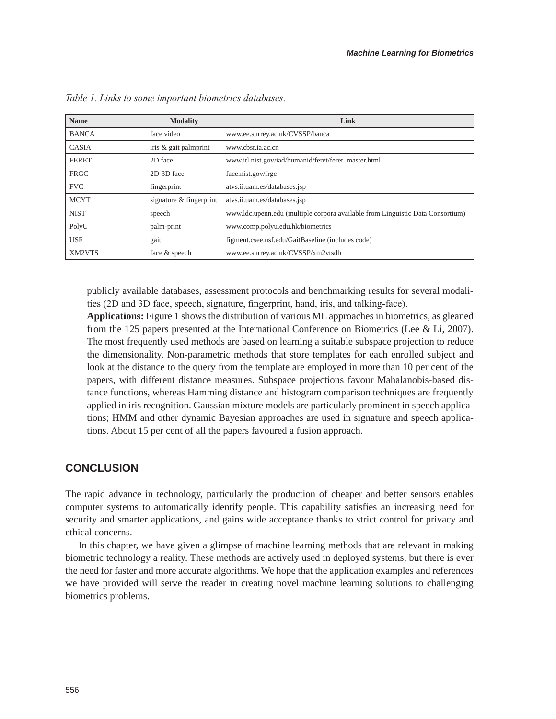| <b>Name</b>  | <b>Modality</b>         | Link                                                                           |
|--------------|-------------------------|--------------------------------------------------------------------------------|
| <b>BANCA</b> | face video              | www.ee.surrey.ac.uk/CVSSP/banca                                                |
| CASIA        | iris & gait palmprint   | www.cbsr.ia.ac.cn                                                              |
| <b>FERET</b> | 2D face                 | www.itl.nist.gov/iad/humanid/feret/feret_master.html                           |
| FRGC         | 2D-3D face              | face.nist.gov/frgc                                                             |
| <b>FVC</b>   | fingerprint             | atvs.ii.uam.es/databases.jsp                                                   |
| <b>MCYT</b>  | signature & fingerprint | atvs.ii.uam.es/databases.jsp                                                   |
| <b>NIST</b>  | speech                  | www.ldc.upenn.edu (multiple corpora available from Linguistic Data Consortium) |
| PolyU        | palm-print              | www.comp.polyu.edu.hk/biometrics                                               |
| <b>USF</b>   | gait                    | figment.csee.usf.edu/GaitBaseline (includes code)                              |
| XM2VTS       | face & speech           | www.ee.surrey.ac.uk/CVSSP/xm2vtsdb                                             |

*Table 1. Links to some important biometrics databases.* 

publicly available databases, assessment protocols and benchmarking results for several modalities (2D and 3D face, speech, signature, fingerprint, hand, iris, and talking-face).

**Applications:** Figure 1 shows the distribution of various ML approaches in biometrics, as gleaned from the 125 papers presented at the International Conference on Biometrics (Lee & Li, 2007). The most frequently used methods are based on learning a suitable subspace projection to reduce the dimensionality. Non-parametric methods that store templates for each enrolled subject and look at the distance to the query from the template are employed in more than 10 per cent of the papers, with different distance measures. Subspace projections favour Mahalanobis-based distance functions, whereas Hamming distance and histogram comparison techniques are frequently applied in iris recognition. Gaussian mixture models are particularly prominent in speech applications; HMM and other dynamic Bayesian approaches are used in signature and speech applications. About 15 per cent of all the papers favoured a fusion approach.

## **CONCLUSION**

The rapid advance in technology, particularly the production of cheaper and better sensors enables computer systems to automatically identify people. This capability satisfies an increasing need for security and smarter applications, and gains wide acceptance thanks to strict control for privacy and ethical concerns.

In this chapter, we have given a glimpse of machine learning methods that are relevant in making biometric technology a reality. These methods are actively used in deployed systems, but there is ever the need for faster and more accurate algorithms. We hope that the application examples and references we have provided will serve the reader in creating novel machine learning solutions to challenging biometrics problems.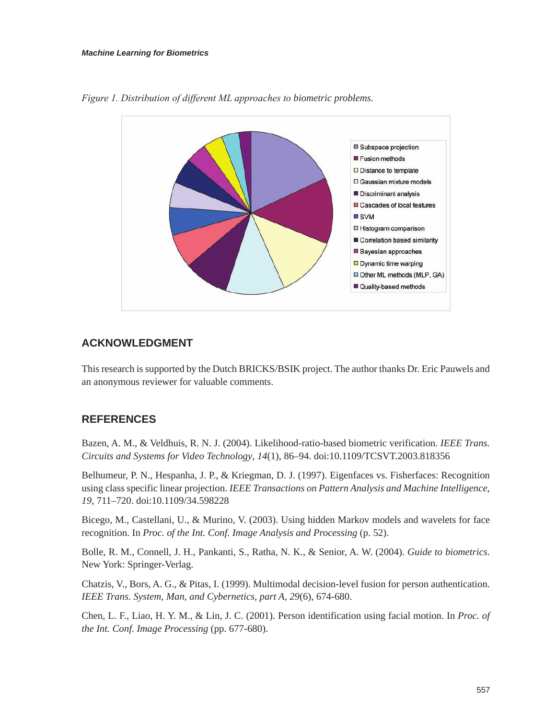#### *Machine Learning for Biometrics*



*Figure 1. Distribution of different ML approaches to biometric problems.*

# **ACKNOWLEDGMENT**

This research is supported by the Dutch BRICKS/BSIK project. The author thanks Dr. Eric Pauwels and an anonymous reviewer for valuable comments.

## **REFERENCES**

Bazen, A. M., & Veldhuis, R. N. J. (2004). Likelihood-ratio-based biometric verification. *IEEE Trans. Circuits and Systems for Video Technology*, *14*(1), 86–94. doi:10.1109/TCSVT.2003.818356

Belhumeur, P. N., Hespanha, J. P., & Kriegman, D. J. (1997). Eigenfaces vs. Fisherfaces: Recognition using class specific linear projection. *IEEE Transactions on Pattern Analysis and Machine Intelligence*, *19*, 711–720. doi:10.1109/34.598228

Bicego, M., Castellani, U., & Murino, V. (2003). Using hidden Markov models and wavelets for face recognition. In *Proc. of the Int. Conf. Image Analysis and Processing* (p. 52).

Bolle, R. M., Connell, J. H., Pankanti, S., Ratha, N. K., & Senior, A. W. (2004). *Guide to biometrics*. New York: Springer-Verlag.

Chatzis, V., Bors, A. G., & Pitas, I. (1999). Multimodal decision-level fusion for person authentication. *IEEE Trans. System, Man, and Cybernetics, part A, 29*(6), 674-680.

Chen, L. F., Liao, H. Y. M., & Lin, J. C. (2001). Person identification using facial motion. In *Proc. of the Int. Conf. Image Processing* (pp. 677-680).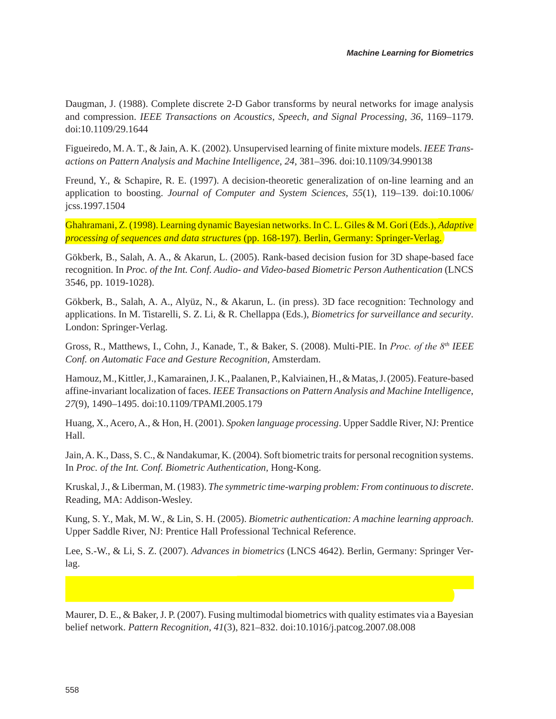Daugman, J. (1988). Complete discrete 2-D Gabor transforms by neural networks for image analysis and compression. *IEEE Transactions on Acoustics, Speech, and Signal Processing*, *36*, 1169–1179. doi:10.1109/29.1644

Figueiredo, M. A. T., & Jain, A. K. (2002). Unsupervised learning of finite mixture models. *IEEE Transactions on Pattern Analysis and Machine Intelligence*, *24*, 381–396. doi:10.1109/34.990138

Freund, Y., & Schapire, R. E. (1997). A decision-theoretic generalization of on-line learning and an application to boosting. *Journal of Computer and System Sciences*, *55*(1), 119–139. doi:10.1006/ jcss.1997.1504

Ghahramani, Z. (1998). Learning dynamic Bayesian networks. In C. L. Giles & M. Gori (Eds.), *Adaptive processing of sequences and data structures* (pp. 168-197). Berlin, Germany: Springer-Verlag.

Gökberk, B., Salah, A. A., & Akarun, L. (2005). Rank-based decision fusion for 3D shape-based face recognition. In *Proc. of the Int. Conf. Audio- and Video-based Biometric Person Authentication* (LNCS 3546, pp. 1019-1028).

Gökberk, B., Salah, A. A., Alyüz, N., & Akarun, L. (in press). 3D face recognition: Technology and applications. In M. Tistarelli, S. Z. Li, & R. Chellappa (Eds.), *Biometrics for surveillance and security*. London: Springer-Verlag.

Gross, R., Matthews, I., Cohn, J., Kanade, T., & Baker, S. (2008). Multi-PIE. In *Proc. of the 8th IEEE Conf. on Automatic Face and Gesture Recognition,* Amsterdam.

Hamouz, M., Kittler, J., Kamarainen, J. K., Paalanen, P., Kalviainen, H., & Matas, J. (2005). Feature-based affine-invariant localization of faces. *IEEE Transactions on Pattern Analysis and Machine Intelligence*, *27*(9), 1490–1495. doi:10.1109/TPAMI.2005.179

Huang, X., Acero, A., & Hon, H. (2001). *Spoken language processing*. Upper Saddle River, NJ: Prentice Hall.

Jain, A. K., Dass, S. C., & Nandakumar, K. (2004). Soft biometric traits for personal recognition systems. In *Proc. of the Int. Conf. Biometric Authentication,* Hong-Kong.

Kruskal, J., & Liberman, M. (1983). *The symmetric time-warping problem: From continuous to discrete*. Reading, MA: Addison-Wesley.

Kung, S. Y., Mak, M. W., & Lin, S. H. (2005). *Biometric authentication: A machine learning approach*. Upper Saddle River, NJ: Prentice Hall Professional Technical Reference.

Lee, S.-W., & Li, S. Z. (2007). *Advances in biometrics* (LNCS 4642). Berlin, Germany: Springer Verlag.

Maurer, D. E., & Baker, J. P. (2007). Fusing multimodal biometrics with quality estimates via a Bayesian belief network. *Pattern Recognition*, *41*(3), 821–832. doi:10.1016/j.patcog.2007.08.008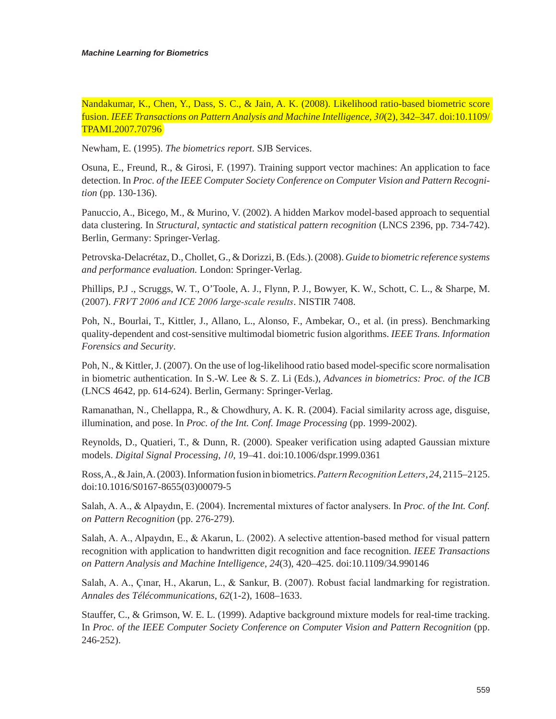Nandakumar, K., Chen, Y., Dass, S. C., & Jain, A. K. (2008). Likelihood ratio-based biometric score fusion. *IEEE Transactions on Pattern Analysis and Machine Intelligence*, *30*(2), 342–347. doi:10.1109/ TPAMI.2007.70796

Newham, E. (1995). *The biometrics report*. SJB Services.

Osuna, E., Freund, R., & Girosi, F. (1997). Training support vector machines: An application to face detection. In *Proc. of the IEEE Computer Society Conference on Computer Vision and Pattern Recognition* (pp. 130-136).

Panuccio, A., Bicego, M., & Murino, V. (2002). A hidden Markov model-based approach to sequential data clustering. In *Structural, syntactic and statistical pattern recognition* (LNCS 2396, pp. 734-742). Berlin, Germany: Springer-Verlag.

Petrovska-Delacrétaz, D., Chollet, G., & Dorizzi, B. (Eds.). (2008). *Guide to biometric reference systems and performance evaluation.* London: Springer-Verlag.

Phillips, P.J ., Scruggs, W. T., O'Toole, A. J., Flynn, P. J., Bowyer, K. W., Schott, C. L., & Sharpe, M. (2007). *FRVT 2006 and ICE 2006 large-scale results*. NISTIR 7408.

Poh, N., Bourlai, T., Kittler, J., Allano, L., Alonso, F., Ambekar, O., et al. (in press). Benchmarking quality-dependent and cost-sensitive multimodal biometric fusion algorithms. *IEEE Trans. Information Forensics and Security*.

Poh, N., & Kittler, J. (2007). On the use of log-likelihood ratio based model-specific score normalisation in biometric authentication. In S.-W. Lee & S. Z. Li (Eds.), *Advances in biometrics: Proc. of the ICB* (LNCS 4642, pp. 614-624). Berlin, Germany: Springer-Verlag.

Ramanathan, N., Chellappa, R., & Chowdhury, A. K. R. (2004). Facial similarity across age, disguise, illumination, and pose. In *Proc. of the Int. Conf. Image Processing* (pp. 1999-2002).

Reynolds, D., Quatieri, T., & Dunn, R. (2000). Speaker verification using adapted Gaussian mixture models. *Digital Signal Processing*, *10*, 19–41. doi:10.1006/dspr.1999.0361

Ross, A., & Jain, A. (2003). Information fusion in biometrics. *Pattern Recognition Letters*, *24*, 2115–2125. doi:10.1016/S0167-8655(03)00079-5

Salah, A. A., & Alpaydın, E. (2004). Incremental mixtures of factor analysers. In *Proc. of the Int. Conf. on Pattern Recognition* (pp. 276-279).

Salah, A. A., Alpaydın, E., & Akarun, L. (2002). A selective attention-based method for visual pattern recognition with application to handwritten digit recognition and face recognition. *IEEE Transactions on Pattern Analysis and Machine Intelligence*, *24*(3), 420–425. doi:10.1109/34.990146

Salah, A. A., Çınar, H., Akarun, L., & Sankur, B. (2007). Robust facial landmarking for registration. *Annales des Télécommunications*, *62*(1-2), 1608–1633.

Stauffer, C., & Grimson, W. E. L. (1999). Adaptive background mixture models for real-time tracking. In *Proc. of the IEEE Computer Society Conference on Computer Vision and Pattern Recognition* (pp. 246-252).